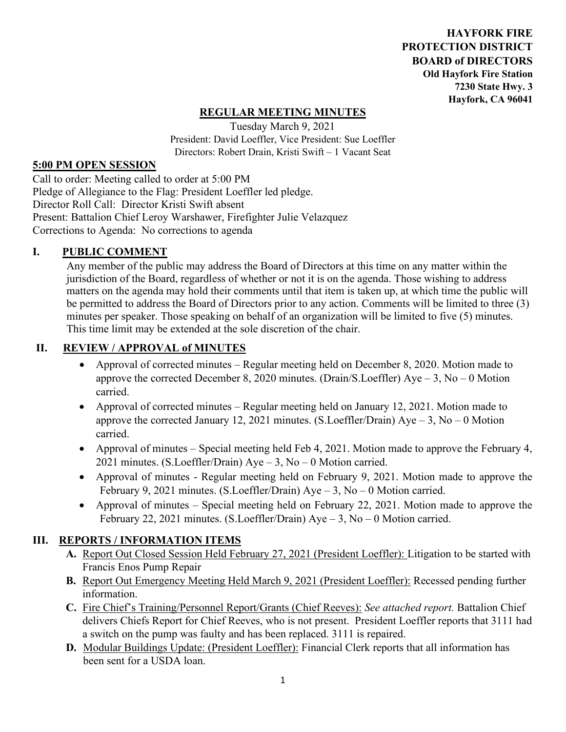**HAYFORK FIRE PROTECTION DISTRICT BOARD of DIRECTORS Old Hayfork Fire Station 7230 State Hwy. 3 Hayfork, CA 96041** 

# **REGULAR MEETING MINUTES**

Tuesday March 9, 2021 President: David Loeffler, Vice President: Sue Loeffler Directors: Robert Drain, Kristi Swift – 1 Vacant Seat

#### **5:00 PM OPEN SESSION**

Call to order: Meeting called to order at 5:00 PM Pledge of Allegiance to the Flag: President Loeffler led pledge. Director Roll Call: Director Kristi Swift absent Present: Battalion Chief Leroy Warshawer, Firefighter Julie Velazquez Corrections to Agenda: No corrections to agenda

#### **I. PUBLIC COMMENT**

Any member of the public may address the Board of Directors at this time on any matter within the jurisdiction of the Board, regardless of whether or not it is on the agenda. Those wishing to address matters on the agenda may hold their comments until that item is taken up, at which time the public will be permitted to address the Board of Directors prior to any action. Comments will be limited to three (3) minutes per speaker. Those speaking on behalf of an organization will be limited to five (5) minutes. This time limit may be extended at the sole discretion of the chair.

### **II. REVIEW / APPROVAL of MINUTES**

- Approval of corrected minutes Regular meeting held on December 8, 2020. Motion made to approve the corrected December 8, 2020 minutes. (Drain/S.Loeffler)  $Aye - 3$ ,  $No - 0$  Motion carried.
- Approval of corrected minutes Regular meeting held on January 12, 2021. Motion made to approve the corrected January 12, 2021 minutes. (S.Loeffler/Drain)  $Aye - 3$ ,  $No - 0$  Motion carried.
- Approval of minutes Special meeting held Feb 4, 2021. Motion made to approve the February 4, 2021 minutes. (S.Loeffler/Drain) Aye – 3, No – 0 Motion carried.
- Approval of minutes Regular meeting held on February 9, 2021. Motion made to approve the February 9, 2021 minutes. (S.Loeffler/Drain) Aye – 3, No – 0 Motion carried.
- Approval of minutes Special meeting held on February 22, 2021. Motion made to approve the February 22, 2021 minutes. (S.Loeffler/Drain) Aye – 3, No – 0 Motion carried.

# **III. REPORTS / INFORMATION ITEMS**

- **A.** Report Out Closed Session Held February 27, 2021 (President Loeffler): Litigation to be started with Francis Enos Pump Repair
- **B.** Report Out Emergency Meeting Held March 9, 2021 (President Loeffler): Recessed pending further information.
- **C.** Fire Chief's Training/Personnel Report/Grants (Chief Reeves): *See attached report.* Battalion Chief delivers Chiefs Report for Chief Reeves, who is not present. President Loeffler reports that 3111 had a switch on the pump was faulty and has been replaced. 3111 is repaired.
- **D.** Modular Buildings Update: (President Loeffler): Financial Clerk reports that all information has been sent for a USDA loan.